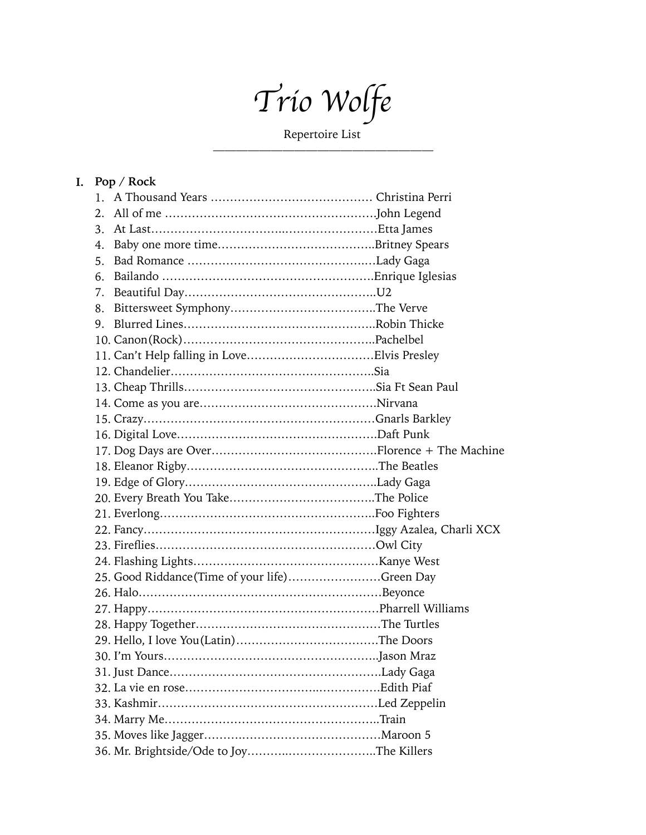*Trio Wolfe*

Repertoire List ———————————————————

## **I. Pop / Rock**

| 1.             |                                                |  |
|----------------|------------------------------------------------|--|
| 2.             |                                                |  |
| 3.             |                                                |  |
| 4.             |                                                |  |
| 5 <sub>1</sub> |                                                |  |
| 6.             |                                                |  |
| 7.             |                                                |  |
| 8.             |                                                |  |
|                |                                                |  |
|                |                                                |  |
|                |                                                |  |
|                |                                                |  |
|                |                                                |  |
|                |                                                |  |
|                |                                                |  |
|                |                                                |  |
|                |                                                |  |
|                |                                                |  |
|                |                                                |  |
|                |                                                |  |
|                |                                                |  |
|                |                                                |  |
|                |                                                |  |
|                |                                                |  |
|                | 25. Good Riddance (Time of your life)Green Day |  |
|                |                                                |  |
|                |                                                |  |
|                |                                                |  |
|                |                                                |  |
|                |                                                |  |
|                |                                                |  |
|                |                                                |  |
|                |                                                |  |
|                |                                                |  |
|                |                                                |  |
|                |                                                |  |